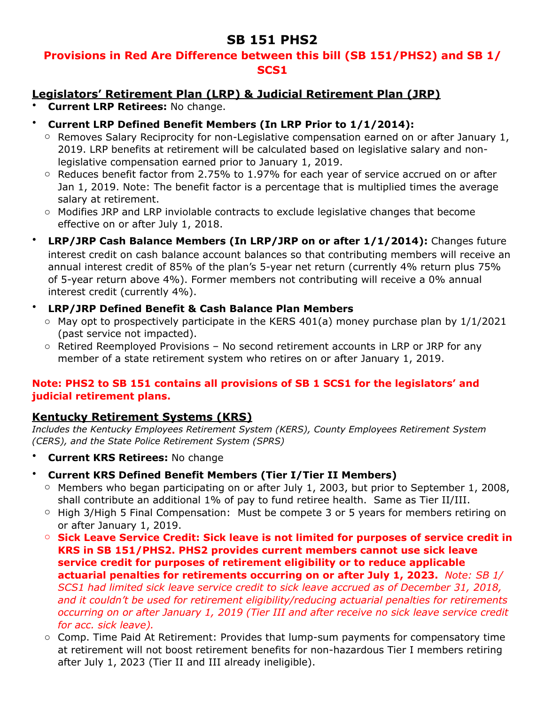# **SB 151 PHS2**

# **Provisions in Red Are Difference between this bill (SB 151/PHS2) and SB 1/ SCS1**

# **Legislators' Retirement Plan (LRP) & Judicial Retirement Plan (JRP)**

- **Current LRP Retirees:** No change.
- **Current LRP Defined Benefit Members (In LRP Prior to 1/1/2014):**
	- $\circ$  Removes Salary Reciprocity for non-Legislative compensation earned on or after January 1, 2019. LRP benefits at retirement will be calculated based on legislative salary and nonlegislative compensation earned prior to January 1, 2019.
	- $\circ$  Reduces benefit factor from 2.75% to 1.97% for each year of service accrued on or after Jan 1, 2019. Note: The benefit factor is a percentage that is multiplied times the average salary at retirement.
	- o Modifies JRP and LRP inviolable contracts to exclude legislative changes that become effective on or after July 1, 2018.
- **LRP/JRP Cash Balance Members (In LRP/JRP on or after 1/1/2014):** Changes future interest credit on cash balance account balances so that contributing members will receive an annual interest credit of 85% of the plan's 5-year net return (currently 4% return plus 75% of 5-year return above 4%). Former members not contributing will receive a 0% annual interest credit (currently 4%).

#### • **LRP/JRP Defined Benefit & Cash Balance Plan Members**

- $\circ$  May opt to prospectively participate in the KERS 401(a) money purchase plan by 1/1/2021 (past service not impacted).
- $\circ$  Retired Reemployed Provisions No second retirement accounts in LRP or JRP for any member of a state retirement system who retires on or after January 1, 2019.

#### **Note: PHS2 to SB 151 contains all provisions of SB 1 SCS1 for the legislators' and judicial retirement plans.**

## **Kentucky Retirement Systems (KRS)**

*Includes the Kentucky Employees Retirement System (KERS), County Employees Retirement System (CERS), and the State Police Retirement System (SPRS)* 

- **Current KRS Retirees:** No change
- **Current KRS Defined Benefit Members (Tier I/Tier II Members)**
	- $\circ$  Members who began participating on or after July 1, 2003, but prior to September 1, 2008, shall contribute an additional 1% of pay to fund retiree health. Same as Tier II/III.
	- $\circ$  High 3/High 5 Final Compensation: Must be compete 3 or 5 years for members retiring on or after January 1, 2019.
	- o **Sick Leave Service Credit: Sick leave is not limited for purposes of service credit in KRS in SB 151/PHS2. PHS2 provides current members cannot use sick leave service credit for purposes of retirement eligibility or to reduce applicable actuarial penalties for retirements occurring on or after July 1, 2023.** *Note: SB 1/ SCS1 had limited sick leave service credit to sick leave accrued as of December 31, 2018, and it couldn't be used for retirement eligibility/reducing actuarial penalties for retirements occurring on or after January 1, 2019 (Tier III and after receive no sick leave service credit for acc. sick leave).*
	- o Comp. Time Paid At Retirement: Provides that lump-sum payments for compensatory time at retirement will not boost retirement benefits for non-hazardous Tier I members retiring after July 1, 2023 (Tier II and III already ineligible).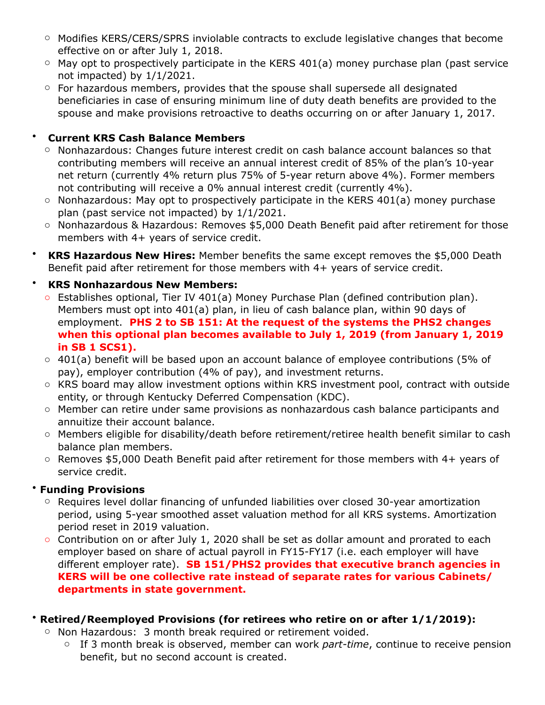- o Modifies KERS/CERS/SPRS inviolable contracts to exclude legislative changes that become effective on or after July 1, 2018.
- $\circ$  May opt to prospectively participate in the KERS 401(a) money purchase plan (past service not impacted) by 1/1/2021.
- o For hazardous members, provides that the spouse shall supersede all designated beneficiaries in case of ensuring minimum line of duty death benefits are provided to the spouse and make provisions retroactive to deaths occurring on or after January 1, 2017.

# • **Current KRS Cash Balance Members**

- o Nonhazardous: Changes future interest credit on cash balance account balances so that contributing members will receive an annual interest credit of 85% of the plan's 10-year net return (currently 4% return plus 75% of 5-year return above 4%). Former members not contributing will receive a 0% annual interest credit (currently 4%).
- $\circ$  Nonhazardous: May opt to prospectively participate in the KERS 401(a) money purchase plan (past service not impacted) by 1/1/2021.
- o Nonhazardous & Hazardous: Removes \$5,000 Death Benefit paid after retirement for those members with 4+ years of service credit.
- **KRS Hazardous New Hires:** Member benefits the same except removes the \$5,000 Death Benefit paid after retirement for those members with 4+ years of service credit.

# • **KRS Nonhazardous New Members:**

- o Establishes optional, Tier IV 401(a) Money Purchase Plan (defined contribution plan). Members must opt into 401(a) plan, in lieu of cash balance plan, within 90 days of employment. **PHS 2 to SB 151: At the request of the systems the PHS2 changes when this optional plan becomes available to July 1, 2019 (from January 1, 2019 in SB 1 SCS1).**
- $\circ$  401(a) benefit will be based upon an account balance of employee contributions (5% of pay), employer contribution (4% of pay), and investment returns.
- o KRS board may allow investment options within KRS investment pool, contract with outside entity, or through Kentucky Deferred Compensation (KDC).
- o Member can retire under same provisions as nonhazardous cash balance participants and annuitize their account balance.
- o Members eligible for disability/death before retirement/retiree health benefit similar to cash balance plan members.
- o Removes \$5,000 Death Benefit paid after retirement for those members with 4+ years of service credit.

## • **Funding Provisions**

- o Requires level dollar financing of unfunded liabilities over closed 30-year amortization period, using 5-year smoothed asset valuation method for all KRS systems. Amortization period reset in 2019 valuation.
- o Contribution on or after July 1, 2020 shall be set as dollar amount and prorated to each employer based on share of actual payroll in FY15-FY17 (i.e. each employer will have different employer rate). **SB 151/PHS2 provides that executive branch agencies in KERS will be one collective rate instead of separate rates for various Cabinets/ departments in state government.**

## • **Retired/Reemployed Provisions (for retirees who retire on or after 1/1/2019):**

- o Non Hazardous: 3 month break required or retirement voided.
	- o If 3 month break is observed, member can work *part-time*, continue to receive pension benefit, but no second account is created.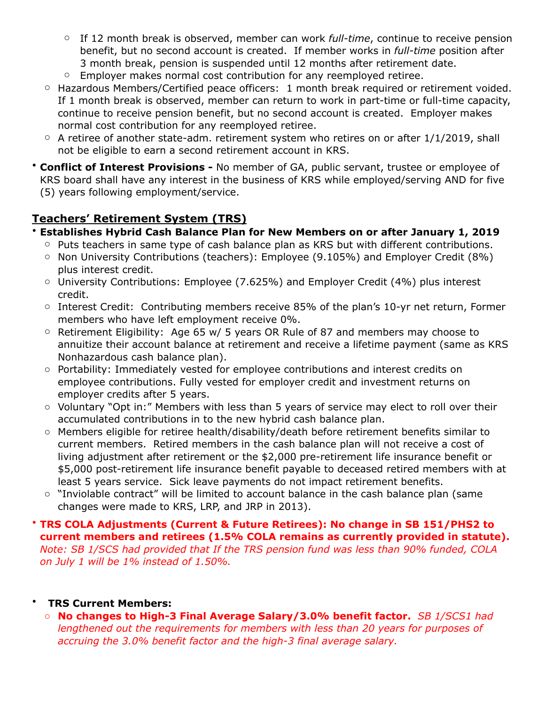- o If 12 month break is observed, member can work *full-time*, continue to receive pension benefit, but no second account is created. If member works in *full-time* position after 3 month break, pension is suspended until 12 months after retirement date.
- o Employer makes normal cost contribution for any reemployed retiree.
- o Hazardous Members/Certified peace officers: 1 month break required or retirement voided. If 1 month break is observed, member can return to work in part-time or full-time capacity, continue to receive pension benefit, but no second account is created. Employer makes normal cost contribution for any reemployed retiree.
- $\circ$  A retiree of another state-adm. retirement system who retires on or after 1/1/2019, shall not be eligible to earn a second retirement account in KRS.
- **Conflict of Interest Provisions** No member of GA, public servant, trustee or employee of KRS board shall have any interest in the business of KRS while employed/serving AND for five (5) years following employment/service.

# **Teachers' Retirement System (TRS)**

- **Establishes Hybrid Cash Balance Plan for New Members on or after January 1, 2019** 
	- o Puts teachers in same type of cash balance plan as KRS but with different contributions.
	- $\circ$  Non University Contributions (teachers): Employee (9.105%) and Employer Credit (8%) plus interest credit.
	- o University Contributions: Employee (7.625%) and Employer Credit (4%) plus interest credit.
	- o Interest Credit: Contributing members receive 85% of the plan's 10-yr net return, Former members who have left employment receive 0%.
	- o Retirement Eligibility: Age 65 w/ 5 years OR Rule of 87 and members may choose to annuitize their account balance at retirement and receive a lifetime payment (same as KRS Nonhazardous cash balance plan).
	- o Portability: Immediately vested for employee contributions and interest credits on employee contributions. Fully vested for employer credit and investment returns on employer credits after 5 years.
	- o Voluntary "Opt in:" Members with less than 5 years of service may elect to roll over their accumulated contributions in to the new hybrid cash balance plan.
	- o Members eligible for retiree health/disability/death before retirement benefits similar to current members. Retired members in the cash balance plan will not receive a cost of living adjustment after retirement or the \$2,000 pre-retirement life insurance benefit or \$5,000 post-retirement life insurance benefit payable to deceased retired members with at least 5 years service. Sick leave payments do not impact retirement benefits.
	- o "Inviolable contract" will be limited to account balance in the cash balance plan (same changes were made to KRS, LRP, and JRP in 2013).

#### • **TRS COLA Adjustments (Current & Future Retirees): No change in SB 151/PHS2 to current members and retirees (1.5% COLA remains as currently provided in statute).**  *Note: SB 1/SCS had provided that If the TRS pension fund was less than 90% funded, COLA on July 1 will be 1% instead of 1.50%.*

#### • **TRS Current Members:**

o **No changes to High-3 Final Average Salary/3.0% benefit factor.** *SB 1/SCS1 had lengthened out the requirements for members with less than 20 years for purposes of accruing the 3.0% benefit factor and the high-3 final average salary.*